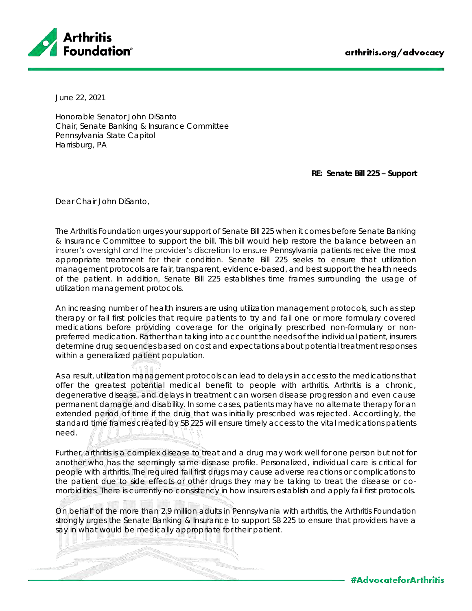

June 22, 2021

Honorable Senator John DiSanto Chair, Senate Banking & Insurance Committee Pennsylvania State Capitol Harrisburg, PA

**RE: Senate Bill 225 – Support**

Dear Chair John DiSanto,

The Arthritis Foundation urges your support of Senate Bill 225 when it comes before Senate Banking & Insurance Committee to support the bill. This bill would help restore the balance between an insurer's oversight and the provider's discretion to ensure Pennsylvania patients receive the most appropriate treatment for their condition. Senate Bill 225 seeks to ensure that utilization management protocols are fair, transparent, evidence-based, and best support the health needs of the patient. In addition, Senate Bill 225 establishes time frames surrounding the usage of utilization management protocols.

An increasing number of health insurers are using utilization management protocols, such as step therapy or fail first policies that require patients to try and fail one or more formulary covered medications before providing coverage for the originally prescribed non-formulary or nonpreferred medication. Rather than taking into account the needs of the individual patient, insurers determine drug sequences based on cost and expectations about potential treatment responses within a generalized patient population.

As a result, utilization management protocols can lead to delays in access to the medications that offer the greatest potential medical benefit to people with arthritis. Arthritis is a chronic, degenerative disease, and delays in treatment can worsen disease progression and even cause permanent damage and disability. In some cases, patients may have no alternate therapy for an extended period of time if the drug that was initially prescribed was rejected. Accordingly, the standard time frames created by SB 225 will ensure timely access to the vital medications patients need.

Further, arthritis is a complex disease to treat and a drug may work well for one person but not for another who has the seemingly same disease profile. Personalized, individual care is critical for people with arthritis. The required fail first drugs may cause adverse reactions or complications to the patient due to side effects or other drugs they may be taking to treat the disease or comorbidities. There is currently no consistency in how insurers establish and apply fail first protocols.

On behalf of the more than 2.9 million adults in Pennsylvania with arthritis, the Arthritis Foundation strongly urges the Senate Banking & Insurance to support SB 225 to ensure that providers have a say in what would be medically appropriate for their patient.